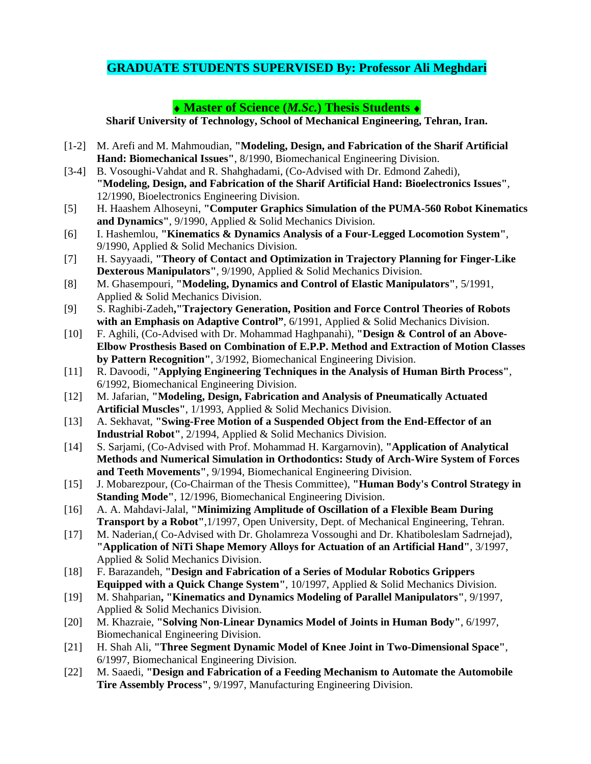## **GRADUATE STUDENTS SUPERVISED By: Professor Ali Meghdari**

## ♦ **Master of Science (***M.Sc.***) Thesis Students** ♦

**Sharif University of Technology, School of Mechanical Engineering, Tehran, Iran.** 

- [1-2] M. Arefi and M. Mahmoudian, **"Modeling, Design, and Fabrication of the Sharif Artificial Hand: Biomechanical Issues"**, 8/1990, Biomechanical Engineering Division.
- [3-4] B. Vosoughi-Vahdat and R. Shahghadami, (Co-Advised with Dr. Edmond Zahedi), **"Modeling, Design, and Fabrication of the Sharif Artificial Hand: Bioelectronics Issues"**, 12/1990, Bioelectronics Engineering Division.
- [5] H. Haashem Alhoseyni, **"Computer Graphics Simulation of the PUMA-560 Robot Kinematics and Dynamics"**, 9/1990, Applied & Solid Mechanics Division.
- [6] I. Hashemlou, **"Kinematics & Dynamics Analysis of a Four-Legged Locomotion System"**, 9/1990, Applied & Solid Mechanics Division.
- [7] H. Sayyaadi, **"Theory of Contact and Optimization in Trajectory Planning for Finger-Like Dexterous Manipulators"**, 9/1990, Applied & Solid Mechanics Division.
- [8] M. Ghasempouri, **"Modeling, Dynamics and Control of Elastic Manipulators"**, 5/1991, Applied & Solid Mechanics Division.
- [9] S. Raghibi-Zadeh**,"Trajectory Generation, Position and Force Control Theories of Robots**  with an Emphasis on Adaptive Control", 6/1991, Applied & Solid Mechanics Division.
- [10] F. Aghili, (Co-Advised with Dr. Mohammad Haghpanahi), **"Design & Control of an Above-Elbow Prosthesis Based on Combination of E.P.P. Method and Extraction of Motion Classes by Pattern Recognition"**, 3/1992, Biomechanical Engineering Division.
- [11] R. Davoodi, **"Applying Engineering Techniques in the Analysis of Human Birth Process"**, 6/1992, Biomechanical Engineering Division.
- [12] M. Jafarian, **"Modeling, Design, Fabrication and Analysis of Pneumatically Actuated Artificial Muscles"**, 1/1993, Applied & Solid Mechanics Division.
- [13] A. Sekhavat, **"Swing-Free Motion of a Suspended Object from the End-Effector of an Industrial Robot"**, 2/1994, Applied & Solid Mechanics Division.
- [14] S. Sarjami, (Co-Advised with Prof. Mohammad H. Kargarnovin), **"Application of Analytical Methods and Numerical Simulation in Orthodontics: Study of Arch-Wire System of Forces and Teeth Movements"**, 9/1994, Biomechanical Engineering Division.
- [15] J. Mobarezpour, (Co-Chairman of the Thesis Committee), **"Human Body's Control Strategy in Standing Mode"**, 12/1996, Biomechanical Engineering Division.
- [16] A. A. Mahdavi-Jalal, **"Minimizing Amplitude of Oscillation of a Flexible Beam During Transport by a Robot"**,1/1997, Open University, Dept. of Mechanical Engineering, Tehran.
- [17] M. Naderian, (Co-Advised with Dr. Gholamreza Vossoughi and Dr. Khatiboleslam Sadrnejad), **"Application of NiTi Shape Memory Alloys for Actuation of an Artificial Hand"**, 3/1997, Applied & Solid Mechanics Division.
- [18] F. Barazandeh, **"Design and Fabrication of a Series of Modular Robotics Grippers Equipped with a Quick Change System"**, 10/1997, Applied & Solid Mechanics Division.
- [19] M. Shahparian**, "Kinematics and Dynamics Modeling of Parallel Manipulators"**, 9/1997, Applied & Solid Mechanics Division.
- [20] M. Khazraie, **"Solving Non-Linear Dynamics Model of Joints in Human Body"**, 6/1997, Biomechanical Engineering Division.
- [21] H. Shah Ali, **"Three Segment Dynamic Model of Knee Joint in Two-Dimensional Space"**, 6/1997, Biomechanical Engineering Division.
- [22] M. Saaedi, **"Design and Fabrication of a Feeding Mechanism to Automate the Automobile Tire Assembly Process"**, 9/1997, Manufacturing Engineering Division.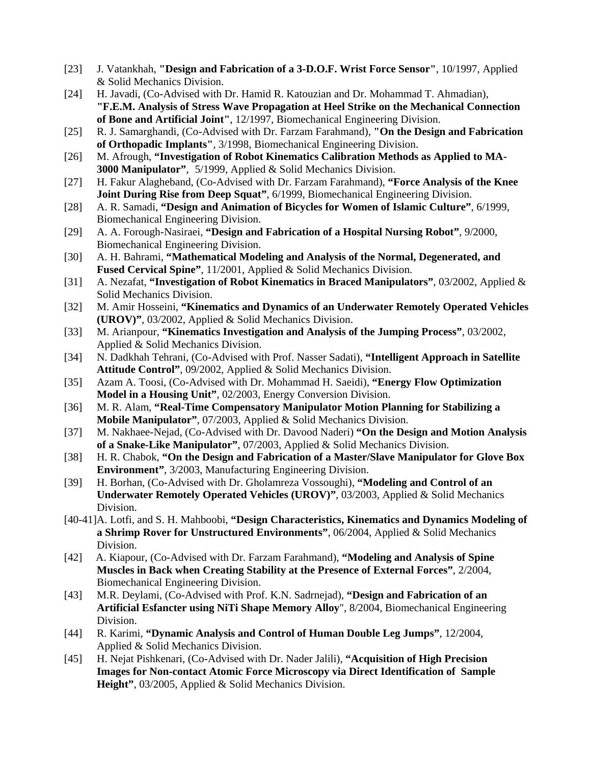- [23] J. Vatankhah, **"Design and Fabrication of a 3-D.O.F. Wrist Force Sensor"**, 10/1997, Applied & Solid Mechanics Division.
- [24] H. Javadi, (Co-Advised with Dr. Hamid R. Katouzian and Dr. Mohammad T. Ahmadian), **"F.E.M. Analysis of Stress Wave Propagation at Heel Strike on the Mechanical Connection of Bone and Artificial Joint"**, 12/1997, Biomechanical Engineering Division.
- [25] R. J. Samarghandi, (Co-Advised with Dr. Farzam Farahmand), **"On the Design and Fabrication of Orthopadic Implants"**, 3/1998, Biomechanical Engineering Division.
- [26] M. Afrough, **"Investigation of Robot Kinematics Calibration Methods as Applied to MA- 3000 Manipulator"**, 5/1999, Applied & Solid Mechanics Division.
- [27] H. Fakur Alagheband, (Co-Advised with Dr. Farzam Farahmand), **"Force Analysis of the Knee Joint During Rise from Deep Squat"**, 6/1999, Biomechanical Engineering Division.
- [28] A. R. Samadi, **"Design and Animation of Bicycles for Women of Islamic Culture"**, 6/1999, Biomechanical Engineering Division.
- [29] A. A. Forough-Nasiraei, **"Design and Fabrication of a Hospital Nursing Robot"**, 9/2000, Biomechanical Engineering Division.
- [30] A. H. Bahrami, **"Mathematical Modeling and Analysis of the Normal, Degenerated, and Fused Cervical Spine"**, 11/2001, Applied & Solid Mechanics Division.
- [31] A. Nezafat, **"Investigation of Robot Kinematics in Braced Manipulators"**, 03/2002, Applied & Solid Mechanics Division.
- [32] M. Amir Hosseini, **"Kinematics and Dynamics of an Underwater Remotely Operated Vehicles (UROV)"**, 03/2002, Applied & Solid Mechanics Division.
- [33] M. Arianpour, **"Kinematics Investigation and Analysis of the Jumping Process"**, 03/2002, Applied & Solid Mechanics Division.
- [34] N. Dadkhah Tehrani, (Co-Advised with Prof. Nasser Sadati), **"Intelligent Approach in Satellite Attitude Control"**, 09/2002, Applied & Solid Mechanics Division.
- [35] Azam A. Toosi, (Co-Advised with Dr. Mohammad H. Saeidi), **"Energy Flow Optimization Model in a Housing Unit"**, 02/2003, Energy Conversion Division.
- [36] M. R. Alam, **"Real-Time Compensatory Manipulator Motion Planning for Stabilizing a Mobile Manipulator"**, 07/2003, Applied & Solid Mechanics Division.
- [37] M. Nakhaee-Nejad, (Co-Advised with Dr. Davood Naderi) **"On the Design and Motion Analysis of a Snake-Like Manipulator"**, 07/2003, Applied & Solid Mechanics Division.
- [38] H. R. Chabok, **"On the Design and Fabrication of a Master/Slave Manipulator for Glove Box Environment"**, 3/2003, Manufacturing Engineering Division.
- [39] H. Borhan, (Co-Advised with Dr. Gholamreza Vossoughi), **"Modeling and Control of an Underwater Remotely Operated Vehicles (UROV)"**, 03/2003, Applied & Solid Mechanics Division.
- [40-41]A. Lotfi, and S. H. Mahboobi, **"Design Characteristics, Kinematics and Dynamics Modeling of a Shrimp Rover for Unstructured Environments"**, 06/2004, Applied & Solid Mechanics Division.
- [42] A. Kiapour, (Co-Advised with Dr. Farzam Farahmand), **"Modeling and Analysis of Spine Muscles in Back when Creating Stability at the Presence of External Forces"**, 2/2004, Biomechanical Engineering Division.
- [43] M.R. Deylami, (Co-Advised with Prof. K.N. Sadrnejad), **"Design and Fabrication of an Artificial Esfancter using NiTi Shape Memory Alloy**", 8/2004, Biomechanical Engineering Division.
- [44] R. Karimi, **"Dynamic Analysis and Control of Human Double Leg Jumps"**, 12/2004, Applied & Solid Mechanics Division.
- [45] H. Nejat Pishkenari, (Co-Advised with Dr. Nader Jalili), **"Acquisition of High Precision Images for Non-contact Atomic Force Microscopy via Direct Identification of Sample Height"**, 03/2005, Applied & Solid Mechanics Division.